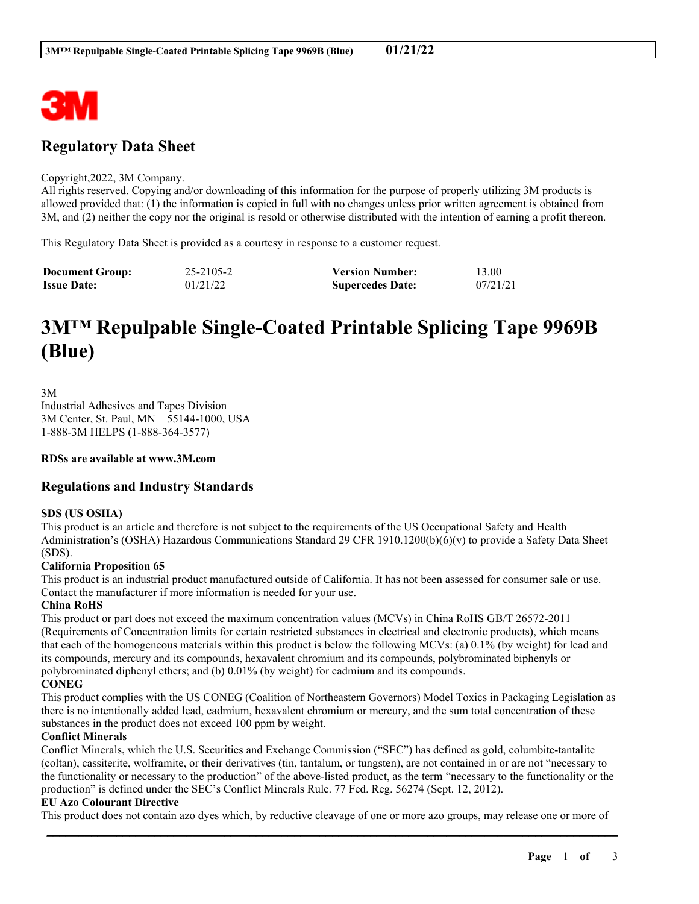

# **Regulatory Data Sheet**

#### Copyright,2022, 3M Company.

All rights reserved. Copying and/or downloading of this information for the purpose of properly utilizing 3M products is allowed provided that: (1) the information is copied in full with no changes unless prior written agreement is obtained from 3M, and (2) neither the copy nor the original is resold or otherwise distributed with the intention of earning a profit thereon.

This Regulatory Data Sheet is provided as a courtesy in response to a customer request.

| <b>Document Group:</b> | 25-2105-2 | <b>Version Number:</b>  | 13.00    |
|------------------------|-----------|-------------------------|----------|
| <b>Issue Date:</b>     | 01/21/22  | <b>Supercedes Date:</b> | 07/21/21 |

# **3M™ Repulpable Single-Coated Printable Splicing Tape 9969B (Blue)**

3M Industrial Adhesives and Tapes Division 3M Center, St. Paul, MN 55144-1000, USA 1-888-3M HELPS (1-888-364-3577)

**RDSs are available at www.3M.com**

# **Regulations and Industry Standards**

# **SDS (US OSHA)**

This product is an article and therefore is not subject to the requirements of the US Occupational Safety and Health Administration's (OSHA) Hazardous Communications Standard 29 CFR 1910.1200(b)(6)(v) to provide a Safety Data Sheet (SDS).

#### **California Proposition 65**

This product is an industrial product manufactured outside of California. It has not been assessed for consumer sale or use. Contact the manufacturer if more information is needed for your use.

#### **China RoHS**

This product or part does not exceed the maximum concentration values (MCVs) in China RoHS GB/T 26572-2011 (Requirements of Concentration limits for certain restricted substances in electrical and electronic products), which means that each of the homogeneous materials within this product is below the following MCVs: (a) 0.1% (by weight) for lead and its compounds, mercury and its compounds, hexavalent chromium and its compounds, polybrominated biphenyls or polybrominated diphenyl ethers; and (b) 0.01% (by weight) for cadmium and its compounds.

# **CONEG**

This product complies with the US CONEG (Coalition of Northeastern Governors) Model Toxics in Packaging Legislation as there is no intentionally added lead, cadmium, hexavalent chromium or mercury, and the sum total concentration of these substances in the product does not exceed 100 ppm by weight.

#### **Conflict Minerals**

Conflict Minerals, which the U.S. Securities and Exchange Commission ("SEC") has defined as gold, columbite-tantalite (coltan), cassiterite, wolframite, or their derivatives (tin, tantalum, or tungsten), are not contained in or are not "necessary to the functionality or necessary to the production" of the above-listed product, as the term "necessary to the functionality or the production" is defined under the SEC's Conflict Minerals Rule. 77 Fed. Reg. 56274 (Sept. 12, 2012).

#### **EU Azo Colourant Directive**

\_\_\_\_\_\_\_\_\_\_\_\_\_\_\_\_\_\_\_\_\_\_\_\_\_\_\_\_\_\_\_\_\_\_\_\_\_\_\_\_\_\_\_\_\_\_\_\_\_\_\_\_\_\_\_\_\_\_\_\_\_\_\_\_\_\_\_\_\_\_\_\_\_\_\_\_\_\_\_\_\_\_\_\_\_\_\_\_\_\_ This product does not contain azo dyes which, by reductive cleavage of one or more azo groups, may release one or more of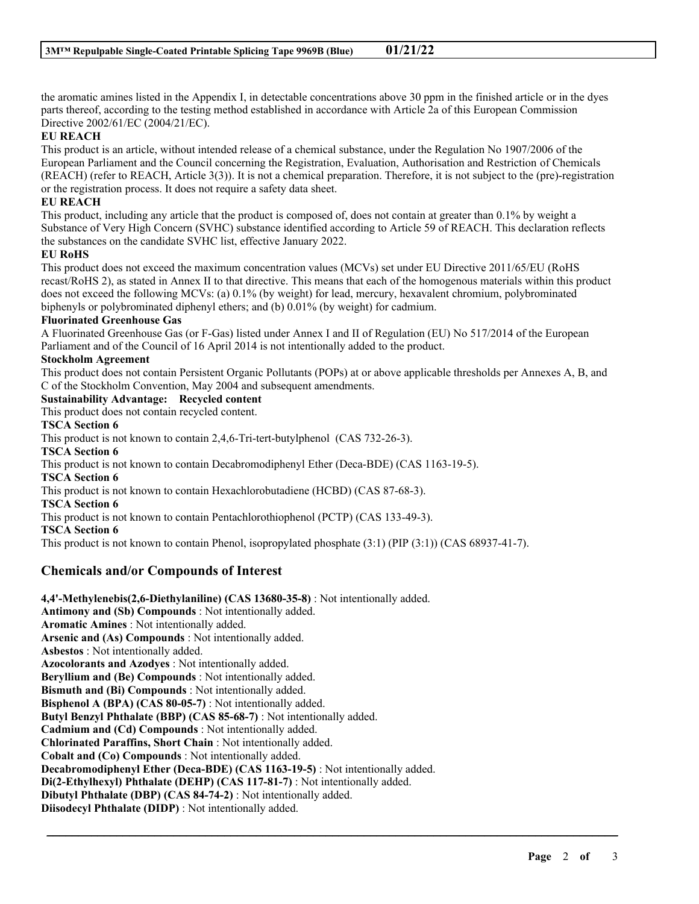the aromatic amines listed in the Appendix I, in detectable concentrations above 30 ppm in the finished article or in the dyes parts thereof, according to the testing method established in accordance with Article 2a of this European Commission Directive 2002/61/EC (2004/21/EC).

# **EU REACH**

This product is an article, without intended release of a chemical substance, under the Regulation No 1907/2006 of the European Parliament and the Council concerning the Registration, Evaluation, Authorisation and Restriction of Chemicals (REACH) (refer to REACH, Article 3(3)). It is not a chemical preparation. Therefore, it is not subject to the (pre)-registration or the registration process. It does not require a safety data sheet.

# **EU REACH**

This product, including any article that the product is composed of, does not contain at greater than 0.1% by weight a Substance of Very High Concern (SVHC) substance identified according to Article 59 of REACH. This declaration reflects the substances on the candidate SVHC list, effective January 2022.

#### **EU RoHS**

This product does not exceed the maximum concentration values (MCVs) set under EU Directive 2011/65/EU (RoHS recast/RoHS 2), as stated in Annex II to that directive. This means that each of the homogenous materials within this product does not exceed the following MCVs: (a) 0.1% (by weight) for lead, mercury, hexavalent chromium, polybrominated biphenyls or polybrominated diphenyl ethers; and (b) 0.01% (by weight) for cadmium.

# **Fluorinated Greenhouse Gas**

A Fluorinated Greenhouse Gas (or F-Gas) listed under Annex I and II of Regulation (EU) No 517/2014 of the European Parliament and of the Council of 16 April 2014 is not intentionally added to the product.

#### **Stockholm Agreement**

This product does not contain Persistent Organic Pollutants (POPs) at or above applicable thresholds per Annexes A, B, and C of the Stockholm Convention, May 2004 and subsequent amendments.

\_\_\_\_\_\_\_\_\_\_\_\_\_\_\_\_\_\_\_\_\_\_\_\_\_\_\_\_\_\_\_\_\_\_\_\_\_\_\_\_\_\_\_\_\_\_\_\_\_\_\_\_\_\_\_\_\_\_\_\_\_\_\_\_\_\_\_\_\_\_\_\_\_\_\_\_\_\_\_\_\_\_\_\_\_\_\_\_\_\_

**Sustainability Advantage: Recycled content**

This product does not contain recycled content.

**TSCA Section 6**

This product is not known to contain 2,4,6-Tri-tert-butylphenol (CAS 732-26-3). **TSCA Section 6** This product is not known to contain Decabromodiphenyl Ether (Deca-BDE) (CAS 1163-19-5).

**TSCA Section 6**

This product is not known to contain Hexachlorobutadiene (HCBD) (CAS 87-68-3).

**TSCA Section 6**

This product is not known to contain Pentachlorothiophenol (PCTP) (CAS 133-49-3).

#### **TSCA Section 6**

This product is not known to contain Phenol, isopropylated phosphate (3:1) (PIP (3:1)) (CAS 68937-41-7).

# **Chemicals and/or Compounds of Interest**

**4,4'-Methylenebis(2,6-Diethylaniline) (CAS 13680-35-8)** : Not intentionally added. **Antimony and (Sb) Compounds** : Not intentionally added. **Aromatic Amines** : Not intentionally added. **Arsenic and (As) Compounds** : Not intentionally added. **Asbestos** : Not intentionally added. **Azocolorants and Azodyes** : Not intentionally added. **Beryllium and (Be) Compounds** : Not intentionally added. **Bismuth and (Bi) Compounds** : Not intentionally added. **Bisphenol A (BPA) (CAS 80-05-7)** : Not intentionally added. **Butyl Benzyl Phthalate (BBP) (CAS 85-68-7)** : Not intentionally added. **Cadmium and (Cd) Compounds** : Not intentionally added. **Chlorinated Paraffins, Short Chain** : Not intentionally added. **Cobalt and (Co) Compounds** : Not intentionally added. **Decabromodiphenyl Ether (Deca-BDE) (CAS 1163-19-5)** : Not intentionally added. **Di(2-Ethylhexyl) Phthalate (DEHP) (CAS 117-81-7)** : Not intentionally added. **Dibutyl Phthalate (DBP) (CAS 84-74-2)** : Not intentionally added. **Diisodecyl Phthalate (DIDP)** : Not intentionally added.